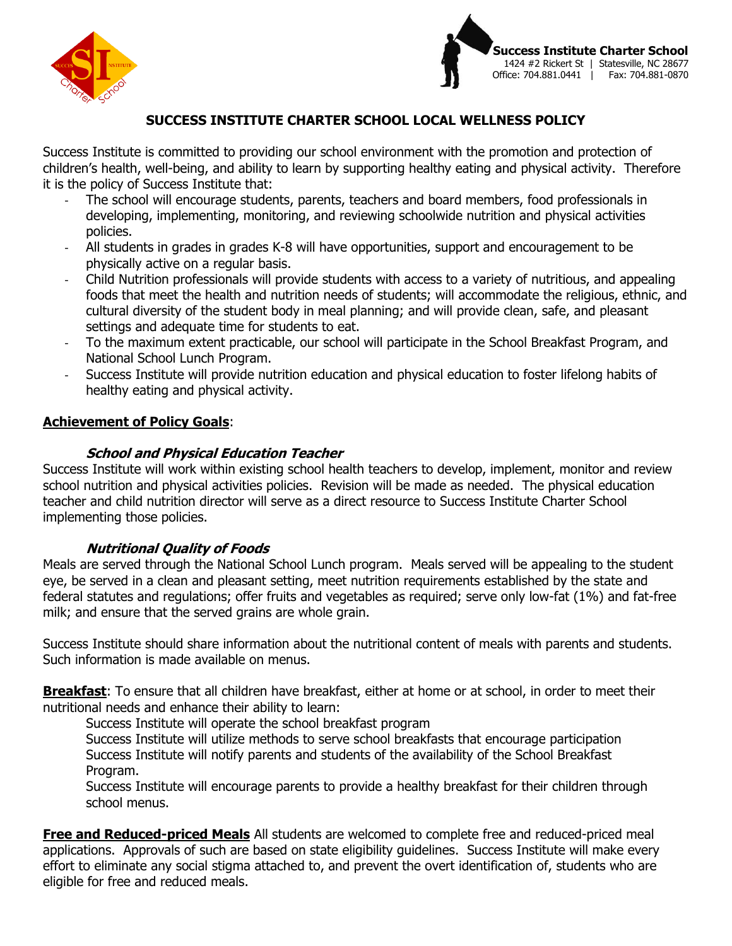



# **SUCCESS INSTITUTE CHARTER SCHOOL LOCAL WELLNESS POLICY**

Success Institute is committed to providing our school environment with the promotion and protection of children's health, well-being, and ability to learn by supporting healthy eating and physical activity. Therefore it is the policy of Success Institute that:

- The school will encourage students, parents, teachers and board members, food professionals in developing, implementing, monitoring, and reviewing schoolwide nutrition and physical activities policies.
- All students in grades in grades K-8 will have opportunities, support and encouragement to be physically active on a regular basis.
- Child Nutrition professionals will provide students with access to a variety of nutritious, and appealing foods that meet the health and nutrition needs of students; will accommodate the religious, ethnic, and cultural diversity of the student body in meal planning; and will provide clean, safe, and pleasant settings and adequate time for students to eat.
- To the maximum extent practicable, our school will participate in the School Breakfast Program, and National School Lunch Program.
- Success Institute will provide nutrition education and physical education to foster lifelong habits of healthy eating and physical activity.

#### **Achievement of Policy Goals**:

#### **School and Physical Education Teacher**

Success Institute will work within existing school health teachers to develop, implement, monitor and review school nutrition and physical activities policies. Revision will be made as needed. The physical education teacher and child nutrition director will serve as a direct resource to Success Institute Charter School implementing those policies.

### **Nutritional Quality of Foods**

Meals are served through the National School Lunch program. Meals served will be appealing to the student eye, be served in a clean and pleasant setting, meet nutrition requirements established by the state and federal statutes and regulations; offer fruits and vegetables as required; serve only low-fat (1%) and fat-free milk; and ensure that the served grains are whole grain.

Success Institute should share information about the nutritional content of meals with parents and students. Such information is made available on menus.

**Breakfast**: To ensure that all children have breakfast, either at home or at school, in order to meet their nutritional needs and enhance their ability to learn:

Success Institute will operate the school breakfast program

Success Institute will utilize methods to serve school breakfasts that encourage participation Success Institute will notify parents and students of the availability of the School Breakfast Program.

Success Institute will encourage parents to provide a healthy breakfast for their children through school menus.

**Free and Reduced-priced Meals** All students are welcomed to complete free and reduced-priced meal applications. Approvals of such are based on state eligibility guidelines. Success Institute will make every effort to eliminate any social stigma attached to, and prevent the overt identification of, students who are eligible for free and reduced meals.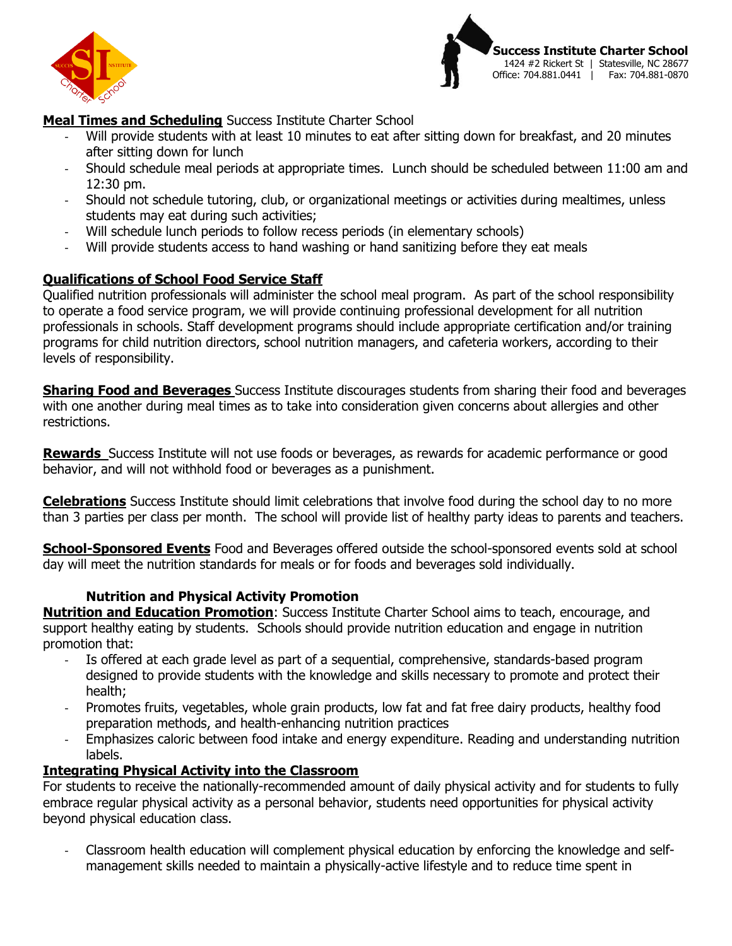



# **Meal Times and Scheduling** Success Institute Charter School

- Will provide students with at least 10 minutes to eat after sitting down for breakfast, and 20 minutes after sitting down for lunch
- Should schedule meal periods at appropriate times. Lunch should be scheduled between 11:00 am and 12:30 pm.
- Should not schedule tutoring, club, or organizational meetings or activities during mealtimes, unless students may eat during such activities;
- Will schedule lunch periods to follow recess periods (in elementary schools)
- Will provide students access to hand washing or hand sanitizing before they eat meals

## **Qualifications of School Food Service Staff**

Qualified nutrition professionals will administer the school meal program. As part of the school responsibility to operate a food service program, we will provide continuing professional development for all nutrition professionals in schools. Staff development programs should include appropriate certification and/or training programs for child nutrition directors, school nutrition managers, and cafeteria workers, according to their levels of responsibility.

**Sharing Food and Beverages** Success Institute discourages students from sharing their food and beverages with one another during meal times as to take into consideration given concerns about allergies and other restrictions.

**Rewards** Success Institute will not use foods or beverages, as rewards for academic performance or good behavior, and will not withhold food or beverages as a punishment.

**Celebrations** Success Institute should limit celebrations that involve food during the school day to no more than 3 parties per class per month. The school will provide list of healthy party ideas to parents and teachers.

**School-Sponsored Events** Food and Beverages offered outside the school-sponsored events sold at school day will meet the nutrition standards for meals or for foods and beverages sold individually.

### **Nutrition and Physical Activity Promotion**

**Nutrition and Education Promotion**: Success Institute Charter School aims to teach, encourage, and support healthy eating by students. Schools should provide nutrition education and engage in nutrition promotion that:

- Is offered at each grade level as part of a sequential, comprehensive, standards-based program designed to provide students with the knowledge and skills necessary to promote and protect their health;
- Promotes fruits, vegetables, whole grain products, low fat and fat free dairy products, healthy food preparation methods, and health-enhancing nutrition practices
- Emphasizes caloric between food intake and energy expenditure. Reading and understanding nutrition labels.

### **Integrating Physical Activity into the Classroom**

For students to receive the nationally-recommended amount of daily physical activity and for students to fully embrace regular physical activity as a personal behavior, students need opportunities for physical activity beyond physical education class.

- Classroom health education will complement physical education by enforcing the knowledge and selfmanagement skills needed to maintain a physically-active lifestyle and to reduce time spent in